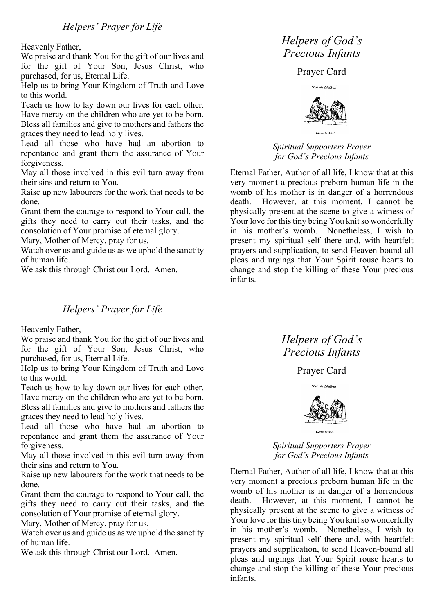Heavenly Father,

We praise and thank You for the gift of our lives and for the gift of Your Son, Jesus Christ, who purchased, for us, Eternal Life.

Help us to bring Your Kingdom of Truth and Love to this world.

Teach us how to lay down our lives for each other. Have mercy on the children who are yet to be born. Bless all families and give to mothers and fathers the graces they need to lead holy lives.

Lead all those who have had an abortion to repentance and grant them the assurance of Your forgiveness.

May all those involved in this evil turn away from their sins and return to You.

Raise up new labourers for the work that needs to be done.

Grant them the courage to respond to Your call, the gifts they need to carry out their tasks, and the consolation of Your promise of eternal glory.

Mary, Mother of Mercy, pray for us.

Watch over us and guide us as we uphold the sanctity of human life.

We ask this through Christ our Lord. Amen.

## *Helpers' Prayer for Life*

Heavenly Father,

We praise and thank You for the gift of our lives and for the gift of Your Son, Jesus Christ, who purchased, for us, Eternal Life.

Help us to bring Your Kingdom of Truth and Love to this world.

Teach us how to lay down our lives for each other. Have mercy on the children who are yet to be born. Bless all families and give to mothers and fathers the graces they need to lead holy lives.

Lead all those who have had an abortion to repentance and grant them the assurance of Your forgiveness.

May all those involved in this evil turn away from their sins and return to You.

Raise up new labourers for the work that needs to be done.

Grant them the courage to respond to Your call, the gifts they need to carry out their tasks, and the consolation of Your promise of eternal glory.

Mary, Mother of Mercy, pray for us.

Watch over us and guide us as we uphold the sanctity of human life.

We ask this through Christ our Lord. Amen.

## *Helpers of God's Precious Infants*

Prayer Card



*Spiritual Supporters Prayer for God's Precious Infants*

Eternal Father, Author of all life, I know that at this very moment a precious preborn human life in the womb of his mother is in danger of a horrendous death. However, at this moment, I cannot be physically present at the scene to give a witness of Your love for this tiny being You knit so wonderfully in his mother's womb. Nonetheless, I wish to present my spiritual self there and, with heartfelt prayers and supplication, to send Heaven-bound all pleas and urgings that Your Spirit rouse hearts to change and stop the killing of these Your precious infants.

## *Helpers of God's Precious Infants*

Prayer Card



*Spiritual Supporters Prayer for God's Precious Infants*

Eternal Father, Author of all life, I know that at this very moment a precious preborn human life in the womb of his mother is in danger of a horrendous death. However, at this moment, I cannot be physically present at the scene to give a witness of Your love for this tiny being You knit so wonderfully in his mother's womb. Nonetheless, I wish to present my spiritual self there and, with heartfelt prayers and supplication, to send Heaven-bound all pleas and urgings that Your Spirit rouse hearts to change and stop the killing of these Your precious infants.